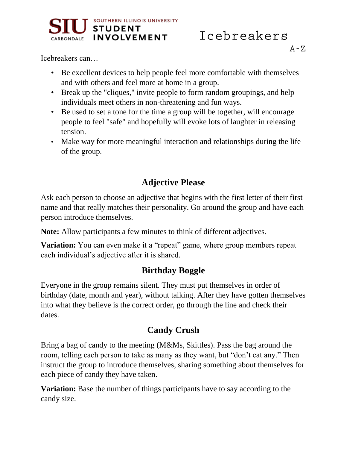

Icebreakers can…

- Be excellent devices to help people feel more comfortable with themselves and with others and feel more at home in a group.
- Break up the "cliques," invite people to form random groupings, and help individuals meet others in non-threatening and fun ways.
- Be used to set a tone for the time a group will be together, will encourage people to feel "safe" and hopefully will evoke lots of laughter in releasing tension.
- Make way for more meaningful interaction and relationships during the life of the group.

# **Adjective Please**

Ask each person to choose an adjective that begins with the first letter of their first name and that really matches their personality. Go around the group and have each person introduce themselves.

**Note:** Allow participants a few minutes to think of different adjectives.

**Variation:** You can even make it a "repeat" game, where group members repeat each individual's adjective after it is shared.

# **Birthday Boggle**

Everyone in the group remains silent. They must put themselves in order of birthday (date, month and year), without talking. After they have gotten themselves into what they believe is the correct order, go through the line and check their dates.

# **Candy Crush**

Bring a bag of candy to the meeting (M&Ms, Skittles). Pass the bag around the room, telling each person to take as many as they want, but "don't eat any." Then instruct the group to introduce themselves, sharing something about themselves for each piece of candy they have taken.

**Variation:** Base the number of things participants have to say according to the candy size.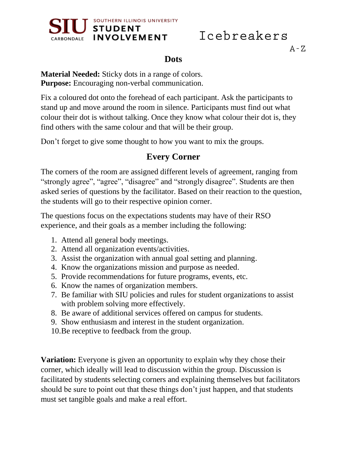

 $A - Z$ 

## **Dots**

**Material Needed:** Sticky dots in a range of colors. **Purpose:** Encouraging non-verbal communication.

Fix a coloured dot onto the forehead of each participant. Ask the participants to stand up and move around the room in silence. Participants must find out what colour their dot is without talking. Once they know what colour their dot is, they find others with the same colour and that will be their group.

Don't forget to give some thought to how you want to mix the groups.

# **Every Corner**

The corners of the room are assigned different levels of agreement, ranging from "strongly agree", "agree", "disagree" and "strongly disagree". Students are then asked series of questions by the facilitator. Based on their reaction to the question, the students will go to their respective opinion corner.

The questions focus on the expectations students may have of their RSO experience, and their goals as a member including the following:

- 1. Attend all general body meetings.
- 2. Attend all organization events/activities.
- 3. Assist the organization with annual goal setting and planning.
- 4. Know the organizations mission and purpose as needed.
- 5. Provide recommendations for future programs, events, etc.
- 6. Know the names of organization members.
- 7. Be familiar with SIU policies and rules for student organizations to assist with problem solving more effectively.
- 8. Be aware of additional services offered on campus for students.
- 9. Show enthusiasm and interest in the student organization.
- 10.Be receptive to feedback from the group.

**Variation:** Everyone is given an opportunity to explain why they chose their corner, which ideally will lead to discussion within the group. Discussion is facilitated by students selecting corners and explaining themselves but facilitators should be sure to point out that these things don't just happen, and that students must set tangible goals and make a real effort.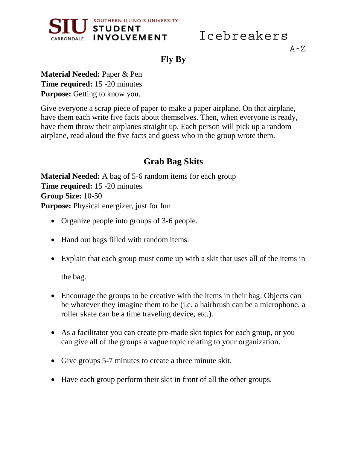

 $A - Z$ 

**Fly By**

**Material Needed:** Paper & Pen **Time required:** 15 -20 minutes **Purpose:** Getting to know you.

Give everyone a scrap piece of paper to make a paper airplane. On that airplane, have them each write five facts about themselves. Then, when everyone is ready, have them throw their airplanes straight up. Each person will pick up a random airplane, read aloud the five facts and guess who in the group wrote them.

# **Grab Bag Skits**

**Material Needed:** A bag of 5-6 random items for each group **Time required:** 15 -20 minutes **Group Size:** 10-50 **Purpose:** Physical energizer, just for fun

- Organize people into groups of 3-6 people.
- Hand out bags filled with random items.
- Explain that each group must come up with a skit that uses all of the items in

the bag.

- Encourage the groups to be creative with the items in their bag. Objects can be whatever they imagine them to be (i.e. a hairbrush can be a microphone, a roller skate can be a time traveling device, etc.).
- As a facilitator you can create pre-made skit topics for each group, or you can give all of the groups a vague topic relating to your organization.
- Give groups 5-7 minutes to create a three minute skit.
- Have each group perform their skit in front of all the other groups.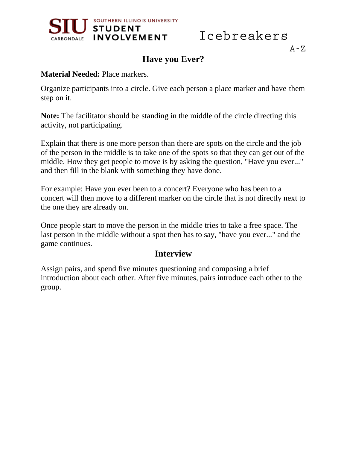

 $A - Z$ 

## **Have you Ever?**

#### **Material Needed:** Place markers.

Organize participants into a circle. Give each person a place marker and have them step on it.

**Note:** The facilitator should be standing in the middle of the circle directing this activity, not participating.

Explain that there is one more person than there are spots on the circle and the job of the person in the middle is to take one of the spots so that they can get out of the middle. How they get people to move is by asking the question, "Have you ever..." and then fill in the blank with something they have done.

For example: Have you ever been to a concert? Everyone who has been to a concert will then move to a different marker on the circle that is not directly next to the one they are already on.

Once people start to move the person in the middle tries to take a free space. The last person in the middle without a spot then has to say, "have you ever..." and the game continues.

### **Interview**

Assign pairs, and spend five minutes questioning and composing a brief introduction about each other. After five minutes, pairs introduce each other to the group.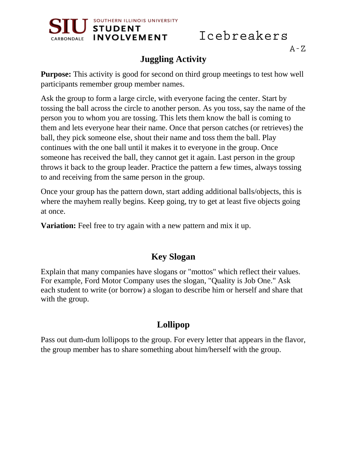

#### $A - Z$

# **Juggling Activity**

**Purpose:** This activity is good for second on third group meetings to test how well participants remember group member names.

Ask the group to form a large circle, with everyone facing the center. Start by tossing the ball across the circle to another person. As you toss, say the name of the person you to whom you are tossing. This lets them know the ball is coming to them and lets everyone hear their name. Once that person catches (or retrieves) the ball, they pick someone else, shout their name and toss them the ball. Play continues with the one ball until it makes it to everyone in the group. Once someone has received the ball, they cannot get it again. Last person in the group throws it back to the group leader. Practice the pattern a few times, always tossing to and receiving from the same person in the group.

Once your group has the pattern down, start adding additional balls/objects, this is where the may hem really begins. Keep going, try to get at least five objects going at once.

**Variation:** Feel free to try again with a new pattern and mix it up.

## **Key Slogan**

Explain that many companies have slogans or "mottos" which reflect their values. For example, Ford Motor Company uses the slogan, "Quality is Job One." Ask each student to write (or borrow) a slogan to describe him or herself and share that with the group.

# **Lollipop**

Pass out dum-dum lollipops to the group. For every letter that appears in the flavor, the group member has to share something about him/herself with the group.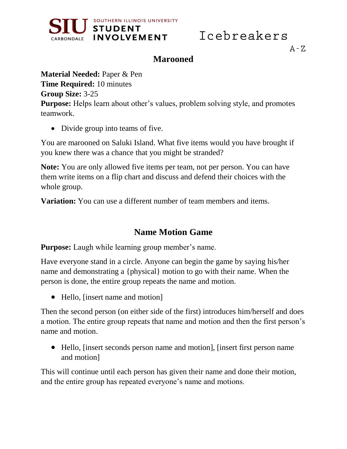

### **Marooned**

**Material Needed:** Paper & Pen **Time Required:** 10 minutes **Group Size:** 3-25 **Purpose:** Helps learn about other's values, problem solving style, and promotes teamwork.

• Divide group into teams of five.

You are marooned on Saluki Island. What five items would you have brought if you knew there was a chance that you might be stranded?

**Note:** You are only allowed five items per team, not per person. You can have them write items on a flip chart and discuss and defend their choices with the whole group.

**Variation:** You can use a different number of team members and items.

## **Name Motion Game**

**Purpose:** Laugh while learning group member's name.

Have everyone stand in a circle. Anyone can begin the game by saying his/her name and demonstrating a {physical} motion to go with their name. When the person is done, the entire group repeats the name and motion.

• Hello, [insert name and motion]

Then the second person (on either side of the first) introduces him/herself and does a motion. The entire group repeats that name and motion and then the first person's name and motion.

 Hello, [insert seconds person name and motion], [insert first person name and motion]

This will continue until each person has given their name and done their motion, and the entire group has repeated everyone's name and motions.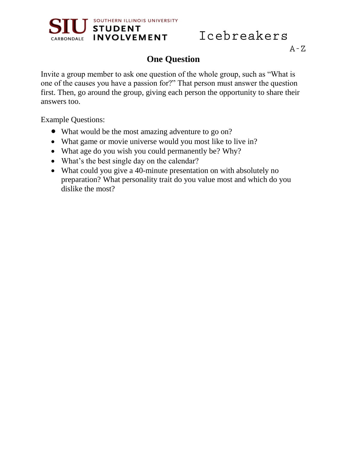

#### $A - Z$

## **One Question**

Invite a group member to ask one question of the whole group, such as "What is one of the causes you have a passion for?" That person must answer the question first. Then, go around the group, giving each person the opportunity to share their answers too.

Example Questions:

- What would be the most amazing adventure to go on?
- What game or movie universe would you most like to live in?
- What age do you wish you could permanently be? Why?
- What's the best single day on the calendar?
- What could you give a 40-minute presentation on with absolutely no preparation? What personality trait do you value most and which do you dislike the most?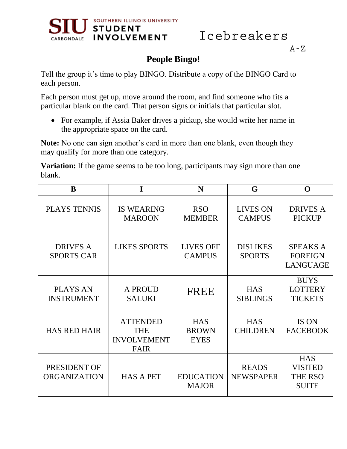



# **People Bingo!**

Tell the group it's time to play BINGO. Distribute a copy of the BINGO Card to each person.

Each person must get up, move around the room, and find someone who fits a particular blank on the card. That person signs or initials that particular slot.

 For example, if Assia Baker drives a pickup, she would write her name in the appropriate space on the card.

**Note:** No one can sign another's card in more than one blank, even though they may qualify for more than one category.

**Variation:** If the game seems to be too long, participants may sign more than one blank.

| B                                    | I                                                                  | N                                         | G                                | O                                                              |
|--------------------------------------|--------------------------------------------------------------------|-------------------------------------------|----------------------------------|----------------------------------------------------------------|
| <b>PLAYS TENNIS</b>                  | <b>IS WEARING</b><br><b>MAROON</b>                                 | <b>RSO</b><br><b>MEMBER</b>               | <b>LIVES ON</b><br><b>CAMPUS</b> | <b>DRIVES A</b><br><b>PICKUP</b>                               |
| <b>DRIVES A</b><br><b>SPORTS CAR</b> | <b>LIKES SPORTS</b>                                                | <b>LIVES OFF</b><br><b>CAMPUS</b>         | <b>DISLIKES</b><br><b>SPORTS</b> | <b>SPEAKS A</b><br><b>FOREIGN</b><br><b>LANGUAGE</b>           |
| <b>PLAYS AN</b><br><b>INSTRUMENT</b> | <b>A PROUD</b><br><b>SALUKI</b>                                    | <b>FREE</b>                               | <b>HAS</b><br><b>SIBLINGS</b>    | <b>BUYS</b><br><b>LOTTERY</b><br><b>TICKETS</b>                |
| <b>HAS RED HAIR</b>                  | <b>ATTENDED</b><br><b>THE</b><br><b>INVOLVEMENT</b><br><b>FAIR</b> | <b>HAS</b><br><b>BROWN</b><br><b>EYES</b> | <b>HAS</b><br><b>CHILDREN</b>    | IS ON<br><b>FACEBOOK</b>                                       |
| PRESIDENT OF<br><b>ORGANIZATION</b>  | <b>HAS A PET</b>                                                   | <b>EDUCATION</b><br><b>MAJOR</b>          | <b>READS</b><br><b>NEWSPAPER</b> | <b>HAS</b><br><b>VISITED</b><br><b>THE RSO</b><br><b>SUITE</b> |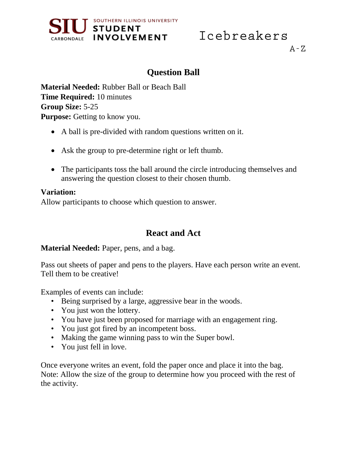



# **Question Ball**

**Material Needed:** Rubber Ball or Beach Ball **Time Required:** 10 minutes **Group Size:** 5-25 **Purpose:** Getting to know you.

- A ball is pre-divided with random questions written on it.
- Ask the group to pre-determine right or left thumb.
- The participants toss the ball around the circle introducing themselves and answering the question closest to their chosen thumb.

#### **Variation:**

Allow participants to choose which question to answer.

## **React and Act**

#### **Material Needed:** Paper, pens, and a bag.

Pass out sheets of paper and pens to the players. Have each person write an event. Tell them to be creative!

Examples of events can include:

- Being surprised by a large, aggressive bear in the woods.
- You just won the lottery.
- You have just been proposed for marriage with an engagement ring.
- You just got fired by an incompetent boss.
- Making the game winning pass to win the Super bowl.
- You just fell in love.

Once everyone writes an event, fold the paper once and place it into the bag. Note: Allow the size of the group to determine how you proceed with the rest of the activity.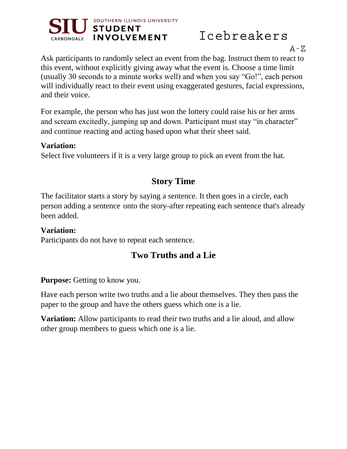

 $A - Z$ 

Ask participants to randomly select an event from the bag. Instruct them to react to this event, without explicitly giving away what the event is. Choose a time limit (usually 30 seconds to a minute works well) and when you say "Go!", each person will individually react to their event using exaggerated gestures, facial expressions, and their voice.

For example, the person who has just won the lottery could raise his or her arms and scream excitedly, jumping up and down. Participant must stay "in character" and continue reacting and acting based upon what their sheet said.

#### **Variation:**

Select five volunteers if it is a very large group to pick an event from the hat.

# **Story Time**

The facilitator starts a story by saying a sentence. It then goes in a circle, each person adding a sentence onto the story-after repeating each sentence that's already been added.

#### **Variation:**

Participants do not have to repeat each sentence.

# **Two Truths and a Lie**

**Purpose:** Getting to know you.

Have each person write two truths and a lie about themselves. They then pass the paper to the group and have the others guess which one is a lie.

**Variation:** Allow participants to read their two truths and a lie aloud, and allow other group members to guess which one is a lie.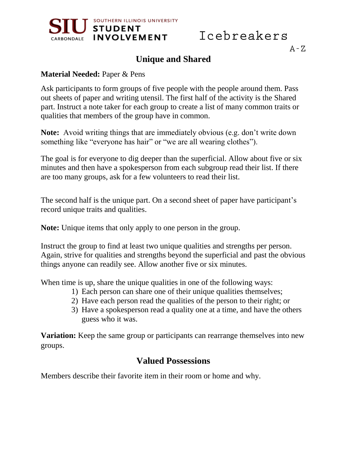



#### $A - Z$

## **Unique and Shared**

#### **Material Needed:** Paper & Pens

Ask participants to form groups of five people with the people around them. Pass out sheets of paper and writing utensil. The first half of the activity is the Shared part. Instruct a note taker for each group to create a list of many common traits or qualities that members of the group have in common.

**Note:** Avoid writing things that are immediately obvious (e.g. don't write down something like "everyone has hair" or "we are all wearing clothes").

The goal is for everyone to dig deeper than the superficial. Allow about five or six minutes and then have a spokesperson from each subgroup read their list. If there are too many groups, ask for a few volunteers to read their list.

The second half is the unique part. On a second sheet of paper have participant's record unique traits and qualities.

**Note:** Unique items that only apply to one person in the group.

Instruct the group to find at least two unique qualities and strengths per person. Again, strive for qualities and strengths beyond the superficial and past the obvious things anyone can readily see. Allow another five or six minutes.

When time is up, share the unique qualities in one of the following ways:

- 1) Each person can share one of their unique qualities themselves;
- 2) Have each person read the qualities of the person to their right; or
- 3) Have a spokesperson read a quality one at a time, and have the others guess who it was.

**Variation:** Keep the same group or participants can rearrange themselves into new groups.

## **Valued Possessions**

Members describe their favorite item in their room or home and why.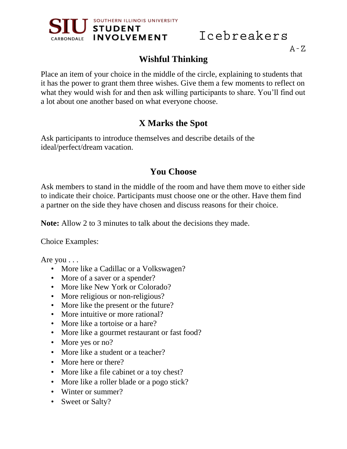

 $A - Z$ 

# **Wishful Thinking**

Place an item of your choice in the middle of the circle, explaining to students that it has the power to grant them three wishes. Give them a few moments to reflect on what they would wish for and then ask willing participants to share. You'll find out a lot about one another based on what everyone choose.

# **X Marks the Spot**

Ask participants to introduce themselves and describe details of the ideal/perfect/dream vacation.

## **You Choose**

Ask members to stand in the middle of the room and have them move to either side to indicate their choice. Participants must choose one or the other. Have them find a partner on the side they have chosen and discuss reasons for their choice.

**Note:** Allow 2 to 3 minutes to talk about the decisions they made.

Choice Examples:

Are you . . .

- More like a Cadillac or a Volkswagen?
- More of a saver or a spender?
- More like New York or Colorado?
- More religious or non-religious?
- More like the present or the future?
- More intuitive or more rational?
- More like a tortoise or a hare?
- More like a gourmet restaurant or fast food?
- More yes or no?
- More like a student or a teacher?
- More here or there?
- More like a file cabinet or a toy chest?
- More like a roller blade or a pogo stick?
- Winter or summer?
- Sweet or Salty?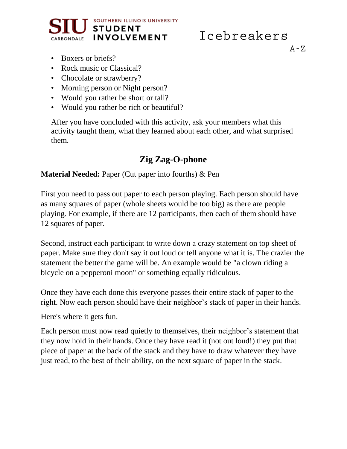



 $A - Z$ 

- Boxers or briefs?
- Rock music or Classical?
- Chocolate or strawberry?
- Morning person or Night person?
- Would you rather be short or tall?
- Would you rather be rich or beautiful?

After you have concluded with this activity, ask your members what this activity taught them, what they learned about each other, and what surprised them.

# **Zig Zag-O-phone**

#### **Material Needed:** Paper (Cut paper into fourths) & Pen

First you need to pass out paper to each person playing. Each person should have as many squares of paper (whole sheets would be too big) as there are people playing. For example, if there are 12 participants, then each of them should have 12 squares of paper.

Second, instruct each participant to write down a crazy statement on top sheet of paper. Make sure they don't say it out loud or tell anyone what it is. The crazier the statement the better the game will be. An example would be "a clown riding a bicycle on a pepperoni moon" or something equally ridiculous.

Once they have each done this everyone passes their entire stack of paper to the right. Now each person should have their neighbor's stack of paper in their hands.

Here's where it gets fun.

Each person must now read quietly to themselves, their neighbor's statement that they now hold in their hands. Once they have read it (not out loud!) they put that piece of paper at the back of the stack and they have to draw whatever they have just read, to the best of their ability, on the next square of paper in the stack.